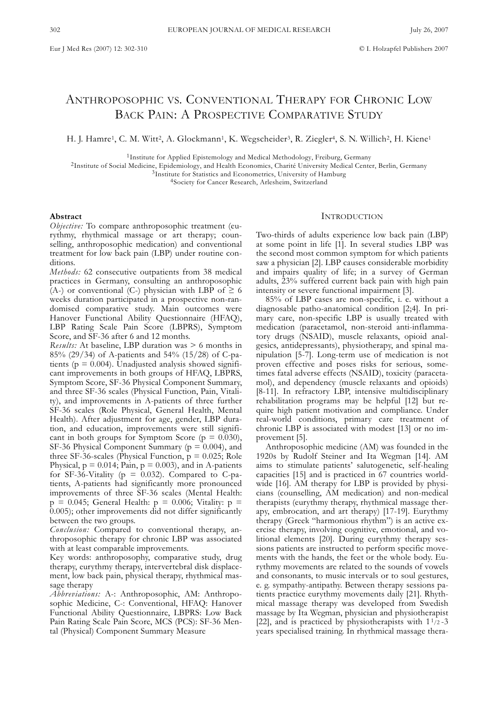# ANTHROPOSOPHIC VS. CONVENTIONAL THERAPY FOR CHRONIC LOW BACK PAIN: A PROSPECTIVE COMPARATIVE STUDY

H. J. Hamre<sup>1</sup>, C. M. Witt<sup>2</sup>, A. Glockmann<sup>1</sup>, K. Wegscheider<sup>3</sup>, R. Ziegler<sup>4</sup>, S. N. Willich<sup>2</sup>, H. Kiene<sup>1</sup>

1Institute for Applied Epistemology and Medical Methodology, Freiburg, Germany

2Institute of Social Medicine, Epidemiology, and Health Economics, Charité University Medical Center, Berlin, Germany

3Institute for Statistics and Econometrics, University of Hamburg

4Society for Cancer Research, Arlesheim, Switzerland

# **Abstract**

*Objective:* To compare anthroposophic treatment (eurythmy, rhythmical massage or art therapy; counselling, anthroposophic medication) and conventional treatment for low back pain (LBP) under routine conditions.

*Methods:* 62 consecutive outpatients from 38 medical practices in Germany, consulting an anthroposophic (A-) or conventional (C-) physician with LBP of  $\geq 6$ weeks duration participated in a prospective non-randomised comparative study. Main outcomes were Hanover Functional Ability Questionnaire (HFAQ), LBP Rating Scale Pain Score (LBPRS), Symptom Score, and SF-36 after 6 and 12 months.

*Results:* At baseline, LBP duration was > 6 months in 85% (29/34) of A-patients and 54% (15/28) of C-patients ( $p = 0.004$ ). Unadjusted analysis showed significant improvements in both groups of HFAQ, LBPRS, Symptom Score, SF-36 Physical Component Summary, and three SF-36 scales (Physical Function, Pain, Vitality), and improvements in A-patients of three further SF-36 scales (Role Physical, General Health, Mental Health). After adjustment for age, gender, LBP duration, and education, improvements were still significant in both groups for Symptom Score ( $p = 0.030$ ), SF-36 Physical Component Summary ( $p = 0.004$ ), and three SF-36-scales (Physical Function,  $p = 0.025$ ; Role Physical,  $p = 0.014$ ; Pain,  $p = 0.003$ ), and in A-patients for SF-36-Vitality ( $p = 0.032$ ). Compared to C-patients, A-patients had significantly more pronounced improvements of three SF-36 scales (Mental Health:  $p = 0.045$ ; General Health:  $p = 0.006$ ; Vitality:  $p =$ 0.005); other improvements did not differ significantly between the two groups.

*Conclusion:* Compared to conventional therapy, anthroposophic therapy for chronic LBP was associated with at least comparable improvements.

Key words: anthroposophy, comparative study, drug therapy, eurythmy therapy, intervertebral disk displacement, low back pain, physical therapy, rhythmical massage therapy

*Abbreviations:* A-: Anthroposophic, AM: Anthroposophic Medicine, C-: Conventional, HFAQ: Hanover Functional Ability Questionnaire, LBPRS: Low Back Pain Rating Scale Pain Score, MCS (PCS): SF-36 Mental (Physical) Component Summary Measure

## **INTRODUCTION**

Two-thirds of adults experience low back pain (LBP) at some point in life [1]. In several studies LBP was the second most common symptom for which patients saw a physician [2]. LBP causes considerable morbidity and impairs quality of life; in a survey of German adults, 23% suffered current back pain with high pain intensity or severe functional impairment [3].

85% of LBP cases are non-specific, i. e. without a diagnosable patho-anatomical condition [2;4]. In primary care, non-specific LBP is usually treated with medication (paracetamol, non-steroid anti-inflammatory drugs (NSAID), muscle relaxants, opioid analgesics, antidepressants), physiotherapy, and spinal manipulation [5-7]. Long-term use of medication is not proven effective and poses risks for serious, sometimes fatal adverse effects (NSAID), toxicity (paracetamol), and dependency (muscle relaxants and opioids) [8-11]. In refractory LBP, intensive multidisciplinary rehabilitation programs may be helpful [12] but require high patient motivation and compliance. Under real-world conditions, primary care treatment of chronic LBP is associated with modest [13] or no improvement [5].

Anthroposophic medicine (AM) was founded in the 1920s by Rudolf Steiner and Ita Wegman [14]. AM aims to stimulate patients' salutogenetic, self-healing capacities [15] and is practiced in 67 countries worldwide [16]. AM therapy for LBP is provided by physicians (counselling, AM medication) and non-medical therapists (eurythmy therapy, rhythmical massage therapy, embrocation, and art therapy) [17-19]. Eurythmy therapy (Greek "harmonious rhythm") is an active exercise therapy, involving cognitive, emotional, and volitional elements [20]. During eurythmy therapy sessions patients are instructed to perform specific movements with the hands, the feet or the whole body. Eurythmy movements are related to the sounds of vowels and consonants, to music intervals or to soul gestures, e. g. sympathy-antipathy. Between therapy sessions patients practice eurythmy movements daily [21]. Rhythmical massage therapy was developed from Swedish massage by Ita Wegman, physician and physiotherapist [22], and is practiced by physiotherapists with  $1<sup>1</sup>/2 - 3$ years specialised training. In rhythmical massage thera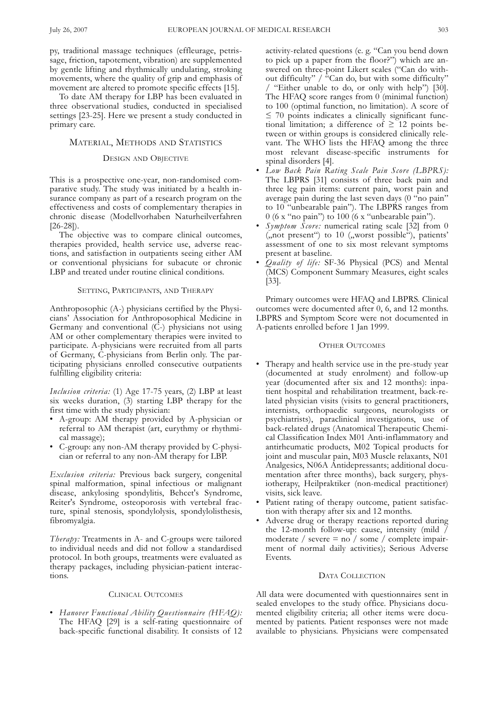py, traditional massage techniques (effleurage, petrissage, friction, tapotement, vibration) are supplemented by gentle lifting and rhythmically undulating, stroking movements, where the quality of grip and emphasis of movement are altered to promote specific effects [15].

To date AM therapy for LBP has been evaluated in three observational studies, conducted in specialised settings [23-25]. Here we present a study conducted in primary care.

# MATERIAL, METHODS AND STATISTICS

## DESIGN AND OBJECTIVE

This is a prospective one-year, non-randomised comparative study. The study was initiated by a health insurance company as part of a research program on the effectiveness and costs of complementary therapies in chronic disease (Modellvorhaben Naturheilverfahren [26-28]).

The objective was to compare clinical outcomes, therapies provided, health service use, adverse reactions, and satisfaction in outpatients seeing either AM or conventional physicians for subacute or chronic LBP and treated under routine clinical conditions.

#### SETTING, PARTICIPANTS, AND THERAPY

Anthroposophic (A-) physicians certified by the Physicians' Association for Anthroposophical Medicine in Germany and conventional  $(C)$  physicians not using AM or other complementary therapies were invited to participate. A-physicians were recruited from all parts of Germany, C-physicians from Berlin only. The participating physicians enrolled consecutive outpatients fulfilling eligibility criteria:

*Inclusion criteria:* (1) Age 17-75 years, (2) LBP at least six weeks duration, (3) starting LBP therapy for the first time with the study physician:

- A-group: AM therapy provided by A-physician or referral to AM therapist (art, eurythmy or rhythmical massage);
- C-group: any non-AM therapy provided by C-physician or referral to any non-AM therapy for LBP.

*Exclusion criteria:* Previous back surgery, congenital spinal malformation, spinal infectious or malignant disease, ankylosing spondylitis, Behcet's Syndrome, Reiter's Syndrome, osteoporosis with vertebral fracture, spinal stenosis, spondylolysis, spondylolisthesis, fibromyalgia.

*Therapy:* Treatments in A- and C-groups were tailored to individual needs and did not follow a standardised protocol. In both groups, treatments were evaluated as therapy packages, including physician-patient interactions.

# CLINICAL OUTCOMES

• *Hanover Functional Ability Questionnaire (HFAQ):* The HFAQ [29] is a self-rating questionnaire of back-specific functional disability. It consists of 12

activity-related questions (e. g. "Can you bend down to pick up a paper from the floor?") which are answered on three-point Likert scales ("Can do without difficulty" / "Can do, but with some difficulty" / "Either unable to do, or only with help") [30]. The HFAQ score ranges from 0 (minimal function) to 100 (optimal function, no limitation). A score of  $\leq$  70 points indicates a clinically significant functional limitation; a difference of  $\geq 12$  points between or within groups is considered clinically relevant. The WHO lists the HFAQ among the three most relevant disease-specific instruments for spinal disorders [4].

- *Low Back Pain Rating Scale Pain Score (LBPRS):* The LBPRS [31] consists of three back pain and three leg pain items: current pain, worst pain and average pain during the last seven days (0 "no pain" to 10 "unbearable pain"). The LBPRS ranges from 0 (6 x "no pain") to 100 (6 x "unbearable pain").
- *Symptom Score:* numerical rating scale [32] from 0 ("not present") to 10 ("worst possible"), patients' assessment of one to six most relevant symptoms present at baseline.
- *Quality of life:* SF-36 Physical (PCS) and Mental (MCS) Component Summary Measures, eight scales [33].

Primary outcomes were HFAQ and LBPRS. Clinical outcomes were documented after 0, 6, and 12 months. LBPRS and Symptom Score were not documented in A-patients enrolled before 1 Jan 1999.

# OTHER OUTCOMES

- Therapy and health service use in the pre-study year (documented at study enrolment) and follow-up year (documented after six and 12 months): inpatient hospital and rehabilitation treatment, back-related physician visits (visits to general practitioners, internists, orthopaedic surgeons, neurologists or psychiatrists), paraclinical investigations, use of back-related drugs (Anatomical Therapeutic Chemical Classification Index M01 Anti-inflammatory and antirheumatic products, M02 Topical products for joint and muscular pain, M03 Muscle relaxants, N01 Analgesics, N06A Antidepressants; additional documentation after three months), back surgery, physiotherapy, Heilpraktiker (non-medical practitioner) visits, sick leave.
- Patient rating of therapy outcome, patient satisfaction with therapy after six and 12 months.
- Adverse drug or therapy reactions reported during the 12-month follow-up: cause, intensity (mild / moderate / severe  $=$  no / some / complete impairment of normal daily activities); Serious Adverse Events.

# DATA COLLECTION

All data were documented with questionnaires sent in sealed envelopes to the study office. Physicians documented eligibility criteria; all other items were documented by patients. Patient responses were not made available to physicians. Physicians were compensated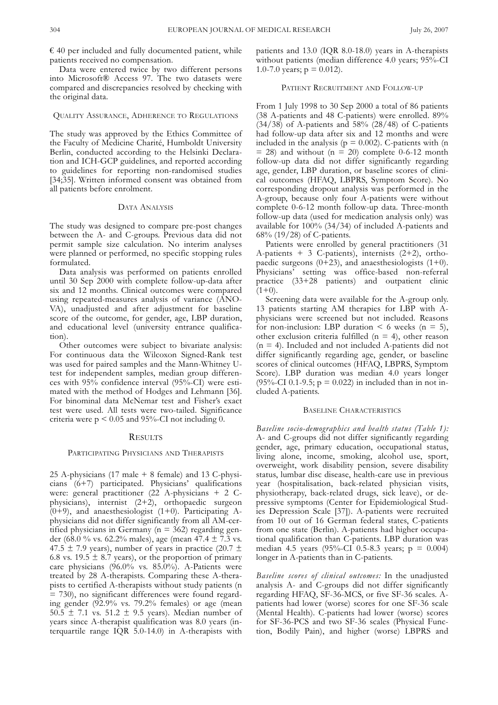$\epsilon$  40 per included and fully documented patient, while patients received no compensation.

Data were entered twice by two different persons into Microsoft® Access 97. The two datasets were compared and discrepancies resolved by checking with the original data.

# QUALITY ASSURANCE, ADHERENCE TO REGULATIONS

The study was approved by the Ethics Committee of the Faculty of Medicine Charité, Humboldt University Berlin, conducted according to the Helsinki Declaration and ICH-GCP guidelines, and reported according to guidelines for reporting non-randomised studies [34;35]. Written informed consent was obtained from all patients before enrolment.

#### DATA ANALYSIS

The study was designed to compare pre-post changes between the A- and C-groups. Previous data did not permit sample size calculation. No interim analyses were planned or performed, no specific stopping rules formulated.

Data analysis was performed on patients enrolled until 30 Sep 2000 with complete follow-up-data after six and 12 months. Clinical outcomes were compared using repeated-measures analysis of variance (ANO-VA), unadjusted and after adjustment for baseline score of the outcome, for gender, age, LBP duration, and educational level (university entrance qualification).

Other outcomes were subject to bivariate analysis: For continuous data the Wilcoxon Signed-Rank test was used for paired samples and the Mann-Whitney Utest for independent samples, median group differences with 95% confidence interval (95%-CI) were estimated with the method of Hodges and Lehmann [36]. For binominal data McNemar test and Fisher's exact test were used. All tests were two-tailed. Significance criteria were  $p < 0.05$  and 95%-CI not including 0.

#### **RESULTS**

## PARTICIPATING PHYSICIANS AND THERAPISTS

25 A-physicians (17 male + 8 female) and 13 C-physicians (6+7) participated. Physicians' qualifications were: general practitioner (22 A-physicians + 2 Cphysicians), internist (2+2), orthopaedic surgeon  $(0+9)$ , and anaesthesiologist  $(1+0)$ . Participating Aphysicians did not differ significantly from all AM-certified physicians in Germany ( $n = 362$ ) regarding gender (68.0 % vs. 62.2% males), age (mean  $47.4 \pm 7.3$  vs. 47.5  $\pm$  7.9 years), number of years in practice (20.7  $\pm$ 6.8 vs. 19.5  $\pm$  8.7 years), or the proportion of primary care physicians (96.0% vs. 85.0%). A-Patients were treated by 28 A-therapists. Comparing these A-therapists to certified A-therapists without study patients (n = 730), no significant differences were found regarding gender (92.9% vs. 79.2% females) or age (mean  $50.5 \pm 7.1$  vs.  $51.2 \pm 9.5$  years). Median number of years since A-therapist qualification was 8.0 years (interquartile range IQR 5.0-14.0) in A-therapists with

patients and 13.0 (IQR 8.0-18.0) years in A-therapists without patients (median difference 4.0 years; 95%-CI 1.0-7.0 years;  $p = 0.012$ ).

# PATIENT RECRUITMENT AND FOLLOW-UP

From 1 July 1998 to 30 Sep 2000 a total of 86 patients (38 A-patients and 48 C-patients) were enrolled. 89%  $(34/38)$  of A-patients and 58% (28/48) of C-patients had follow-up data after six and 12 months and were included in the analysis ( $p = 0.002$ ). C-patients with (n  $= 28$ ) and without (n  $= 20$ ) complete 0-6-12 month follow-up data did not differ significantly regarding age, gender, LBP duration, or baseline scores of clinical outcomes (HFAQ, LBPRS, Symptom Score). No corresponding dropout analysis was performed in the A-group, because only four A-patients were without complete 0-6-12 month follow-up data. Three-month follow-up data (used for medication analysis only) was available for 100% (34/34) of included A-patients and 68% (19/28) of C-patients.

Patients were enrolled by general practitioners (31 A-patients  $+ 3$  C-patients), internists (2+2), orthopaedic surgeons  $(0+23)$ , and anaesthesiologists  $(1+0)$ . Physicians' setting was office-based non-referral practice (33+28 patients) and outpatient clinic  $(1+0)$ .

Screening data were available for the A-group only. 13 patients starting AM therapies for LBP with Aphysicians were screened but not included. Reasons for non-inclusion: LBP duration  $\lt$  6 weeks (n = 5), other exclusion criteria fulfilled ( $n = 4$ ), other reason  $(n = 4)$ . Included and not included A-patients did not differ significantly regarding age, gender, or baseline scores of clinical outcomes (HFAQ, LBPRS, Symptom Score). LBP duration was median 4.0 years longer (95%-CI 0.1-9.5;  $p = 0.022$ ) in included than in not included A-patients.

# BASELINE CHARACTERISTICS

*Baseline socio-demographics and health status (Table 1):* A- and C-groups did not differ significantly regarding gender, age, primary education, occupational status, living alone, income, smoking, alcohol use, sport, overweight, work disability pension, severe disability status, lumbar disc disease, health-care use in previous year (hospitalisation, back-related physician visits, physiotherapy, back-related drugs, sick leave), or depressive symptoms (Center for Epidemiological Studies Depression Scale [37]). A-patients were recruited from 10 out of 16 German federal states, C-patients from one state (Berlin). A-patients had higher occupational qualification than C-patients. LBP duration was median 4.5 years  $(95\% - CI \n0.5 - 8.3 \nyears; p = 0.004)$ longer in A-patients than in C-patients.

*Baseline scores of clinical outcomes:* In the unadjusted analysis A- and C-groups did not differ significantly regarding HFAQ, SF-36-MCS, or five SF-36 scales. Apatients had lower (worse) scores for one SF-36 scale (Mental Health). C-patients had lower (worse) scores for SF-36-PCS and two SF-36 scales (Physical Function, Bodily Pain), and higher (worse) LBPRS and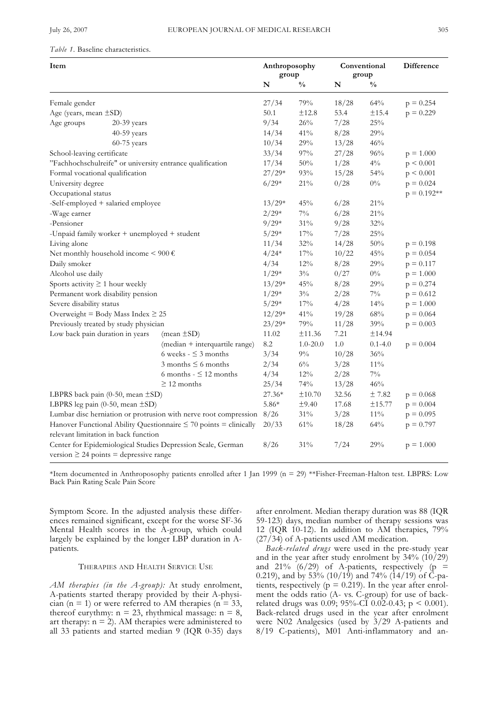## *Table 1.* Baseline characteristics.

| Item                                                                                                       |                                                                        | Anthroposophy<br>group |               |       | Conventional<br>group | Difference    |
|------------------------------------------------------------------------------------------------------------|------------------------------------------------------------------------|------------------------|---------------|-------|-----------------------|---------------|
|                                                                                                            |                                                                        | N                      | $\frac{0}{0}$ | N     | $\frac{0}{0}$         |               |
| Female gender                                                                                              |                                                                        | 27/34                  | 79%           | 18/28 | 64%                   | $p = 0.254$   |
| Age (years, mean ±SD)                                                                                      |                                                                        | 50.1                   | $\pm 12.8$    | 53.4  | 土15.4                 | $p = 0.229$   |
| Age groups<br>$20-39$ years                                                                                |                                                                        | 9/34                   | 26%           | 7/28  | 25%                   |               |
| 40-59 years                                                                                                |                                                                        | 14/34                  | 41%           | 8/28  | 29%                   |               |
| $60-75$ years                                                                                              |                                                                        | 10/34                  | $29\%$        | 13/28 | 46%                   |               |
| School-leaving certificate                                                                                 |                                                                        | 33/34                  | $97\%$        | 27/28 | $96\%$                | $p = 1.000$   |
| "Fachhochschulreife" or university entrance qualification                                                  |                                                                        | 17/34                  | 50%           | 1/28  | $4\%$                 | p < 0.001     |
| Formal vocational qualification                                                                            |                                                                        | $27/29*$               | 93%           | 15/28 | 54%                   | p < 0.001     |
| University degree                                                                                          |                                                                        | $6/29*$                | 21%           | 0/28  | $0\%$                 | $p = 0.024$   |
| Occupational status                                                                                        |                                                                        |                        |               |       |                       | $p = 0.192**$ |
| -Self-employed + salaried employee                                                                         |                                                                        | $13/29*$               | 45%           | 6/28  | $21\%$                |               |
| -Wage earner                                                                                               |                                                                        | $2/29*$                | $7\%$         | 6/28  | 21%                   |               |
| -Pensioner                                                                                                 |                                                                        | $9/29*$                | $31\%$        | 9/28  | 32%                   |               |
| -Unpaid family worker + unemployed + student                                                               |                                                                        | $5/29*$                | $17\%$        | 7/28  | $25\%$                |               |
| Living alone                                                                                               |                                                                        | 11/34                  | 32%           | 14/28 | $50\%$                | $p = 0.198$   |
| Net monthly household income < 900 $\epsilon$                                                              |                                                                        | $4/24*$                | $17\%$        | 10/22 | 45%                   | $p = 0.054$   |
| Daily smoker                                                                                               |                                                                        | 4/34                   | $12\%$        | 8/28  | 29%                   | $p = 0.117$   |
| Alcohol use daily                                                                                          |                                                                        | $1/29*$                | $3\%$         | 0/27  | $0\%$                 | $p = 1.000$   |
| Sports activity $\geq 1$ hour weekly                                                                       |                                                                        | $13/29*$               | 45%           | 8/28  | 29%                   | $p = 0.274$   |
| Permanent work disability pension                                                                          |                                                                        | $1/29*$                | $3\%$         | 2/28  | $7\%$                 | $p = 0.612$   |
| Severe disability status                                                                                   |                                                                        | $5/29*$                | 17%           | 4/28  | 14%                   | $p = 1.000$   |
| Overweight = Body Mass Index $\geq 25$                                                                     |                                                                        | $12/29*$               | 41%           | 19/28 | $68\%$                | $p = 0.064$   |
| Previously treated by study physician                                                                      |                                                                        | $23/29*$               | 79%           | 11/28 | 39%                   | $p = 0.003$   |
| Low back pain duration in years                                                                            | $(\text{mean} \pm S\text{D})$                                          | 11.02                  | ±11.36        | 7.21  | ±14.94                |               |
|                                                                                                            | (median + interquartile range)                                         | 8.2                    | $1.0 - 20.0$  | 1.0   | $0.1 - 4.0$           | $p = 0.004$   |
|                                                                                                            | 6 weeks - $\leq$ 3 months                                              | 3/34                   | $9\%$         | 10/28 | 36%                   |               |
|                                                                                                            | 3 months $\leq$ 6 months                                               | 2/34                   | $6\%$         | 3/28  | $11\%$                |               |
|                                                                                                            | 6 months $ \leq$ 12 months                                             | 4/34                   | $12\%$        | 2/28  | $7\%$                 |               |
|                                                                                                            | $\geq$ 12 months                                                       | 25/34                  | 74%           | 13/28 | 46%                   |               |
| LBPRS back pain $(0-50, \text{mean } \pm S\text{D})$                                                       |                                                                        | 27.36*                 | $\pm 10.70$   | 32.56 | ± 7.82                | $p = 0.068$   |
| LBPRS leg pain $(0-50, \text{mean } \pm S\text{D})$                                                        |                                                                        | $5.86*$                | ±9.40         | 17.68 | ±15.77                | $p = 0.004$   |
|                                                                                                            | Lumbar disc herniation or protrusion with nerve root compression 8/26  |                        | $31\%$        | 3/28  | $11\%$                | $p = 0.095$   |
|                                                                                                            | Hanover Functional Ability Questionnaire $\leq$ 70 points = clinically | 20/33                  | $61\%$        | 18/28 | 64%                   | $p = 0.797$   |
| relevant limitation in back function                                                                       |                                                                        |                        |               |       |                       |               |
| Center for Epidemiological Studies Depression Scale, German<br>version $\geq$ 24 points = depressive range |                                                                        | 8/26                   | 31%           | 7/24  | 29%                   | $p = 1.000$   |

\*Item documented in Anthroposophy patients enrolled after 1 Jan 1999 (n = 29) \*\*Fisher-Freeman-Halton test. LBPRS: Low Back Pain Rating Scale Pain Score

Symptom Score. In the adjusted analysis these differences remained significant, except for the worse SF-36 Mental Health scores in the A-group, which could largely be explained by the longer LBP duration in Apatients.

## THERAPIES AND HEALTH SERVICE USE

*AM therapies (in the A-group):* At study enrolment, A-patients started therapy provided by their A-physician (n = 1) or were referred to AM therapies (n =  $33$ , thereof eurythmy:  $n = 23$ , rhythmical massage:  $n = 8$ , art therapy:  $n = 2$ ). AM therapies were administered to all 33 patients and started median 9 (IQR 0-35) days after enrolment. Median therapy duration was 88 (IQR 59-123) days, median number of therapy sessions was 12 (IQR 10-12). In addition to AM therapies, 79% (27/34) of A-patients used AM medication.

*Back-related drugs* were used in the pre-study year and in the year after study enrolment by  $34\%$  (10/29) and 21% (6/29) of A-patients, respectively (p = 0.219), and by 53% (10/19) and 74% (14/19) of  $\ddot{C}$ -patients, respectively ( $p = 0.219$ ). In the year after enrolment the odds ratio (A- vs. C-group) for use of backrelated drugs was 0.09; 95%-CI 0.02-0.43;  $p < 0.001$ ). Back-related drugs used in the year after enrolment were N02 Analgesics (used by 3/29 A-patients and 8/19 C-patients), M01 Anti-inflammatory and an-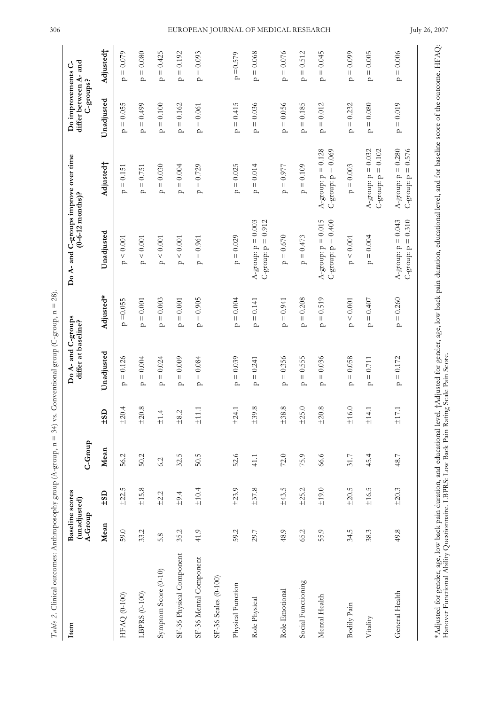| Item                     | (unadjusted)<br>A-Group | <b>Baseline</b> scores | C-Group |                                  | Do A- and C-groups<br>differ at baseline? |                                                     | Do A- and C-groups improve over time<br>$(0 - 6 - 12 \text{ months})$ ?       |                                                                  | differ between A- and<br>Do improvements C-<br>C-groups? |                                      |
|--------------------------|-------------------------|------------------------|---------|----------------------------------|-------------------------------------------|-----------------------------------------------------|-------------------------------------------------------------------------------|------------------------------------------------------------------|----------------------------------------------------------|--------------------------------------|
|                          | Mean                    | $-15D$                 | Mean    | $\overline{a}$<br>$\overline{5}$ | Unadjusted                                | Adjusted*                                           | Unadjusted                                                                    | Adjusted <sup>+</sup>                                            | Unadjusted                                               | Adjusted <sup>+</sup>                |
| HFAQ (0-100)             | 59.0                    | ±22.5                  | 56.2    | ±20.4                            | $= 0.126$<br>$\mathbf{p}$                 | $=0.055$<br>$\mathbf{p}$                            | < 0.001<br>$\Delta$                                                           | 0.151<br>$\vert\vert$<br>$\mathbf{p}$                            | $= 0.055$<br>$\mathbf{a}$                                | $= 0.079$<br>$\mathbf{p}$            |
| LBPRS (0-100)            | 33.2                    | ±15.8                  | 50.2    | ±20.8                            | $= 0.004$<br>$\mathbf{p}$                 | $= 0.001$<br>$\mathbf{a}$                           | $\mathtt{p} \leq 0.001$                                                       | $= 0.751$<br>$\sim$                                              | $= 0.499$<br>$\mathbf{p}$                                | $= 0.080$<br>$\sim$                  |
| Symptom Score (0-10)     | 5.8                     | $+2.2$                 | 6.2     | $\pm1.4$                         | $= 0.024$<br>$\mathbf{p}$                 | $= 0.003$<br>$\Delta$                               | $\mathtt{p}\leq0.001$                                                         | $p = 0.030$                                                      | $p = 0.100$                                              | $p = 0.425$                          |
| SF-36 Physical Component | 35.2                    | ±9.4                   | 32.5    | Ċ,<br>$\frac{8}{1}$              | $= 0.009$<br>$\mathbf{p}$                 | $= 0.001$<br>$\mathbf{a}$                           | $\mathtt{p} \leq 0.001$                                                       | $p = 0.004$                                                      | $p = 0.162$                                              | $p = 0.192$                          |
| SF-36 Mental Component   | 41.9                    | $\pm10.4$              | 50.5    | $\pm11.1$                        | $= 0.084$<br>$\mathbf{p}$                 | $= 0.905$<br>$\mathbf{p}$                           | $= 0.961$<br>$\mathbf{a}$                                                     | $p = 0.729$                                                      | $\mathtt{p}=0.061$                                       | $p = 0.093$                          |
| SF-36 Scales (0-100)     |                         |                        |         |                                  |                                           |                                                     |                                                                               |                                                                  |                                                          |                                      |
| Physical Function        | 59.2                    | ±23.9                  | 52.6    | ±24.1                            | $= 0.039$<br>$\mathbf{p}$                 | $= 0.004$<br>$\Delta$                               | $p = 0.029$                                                                   | $p = 0.025$                                                      | $p = 0.415$                                              | $p = 0.579$                          |
| Role Physical            | 29.7                    | ±37.8                  | 41.1    | ±39.8                            | $= 0.241$<br>$\sim$                       | $p = 0.141$                                         | A-group: $p = 0.003$<br>$C$ -group: $p = 0.912$                               | $p = 0.014$                                                      | $p = 0.036$                                              | $p = 0.068$                          |
| Role-Emotional           | 48.9                    | ±43.5                  | $72.0$  | 8.8<br>$+5$                      | $= 0.356$<br>$\mathbf{p}$                 | $= 0.941$<br>$\overline{a}$                         | $p = 0.670$                                                                   | $p = 0.977$                                                      | $p = 0.056$                                              | $p = 0.076$                          |
| Social Functioning       | 65.2                    | ±25.2                  | 75.9    | 5.0<br>$\frac{1}{2}$             | 0.555<br>$\vert\vert$<br>$\mathbf{p}$     | 0.208<br>$\mathop{\rm II}\nolimits$<br>$\mathbf{a}$ | 0.473<br>$\ensuremath{\mathsf{H}}$<br>$\mathbf{a}$                            | 0.109<br>$\frac{1}{\mathbf{p}}$                                  | 0.185<br>$\ensuremath{\mathsf{H}}$<br>$\mathbf{p}$       | 0.512<br>$\bar{\Pi}$<br>$\mathbf{a}$ |
| Mental Health            | 55.9                    | $\pm 19.0$             | 66.6    | ±20.8                            | $= 0.036$<br>$\sim$                       | 0.519<br>$\mathop{\rm H}\nolimits$<br>$\sim$        | A-group: $p = 0.015$<br>C-group: $p = 0.400$                                  | A-group: $p = 0.128$<br>C-group: $p = 0.069$                     | $= 0.012$<br>$\sim$                                      | $= 0.045$<br>$\sim$                  |
| <b>Bodily Pain</b>       | 34.5                    | ±20.5                  | 31.7    | $\pm 16.0$                       | $= 0.058$<br>$\sim$                       | p < 0.001                                           | $\mathtt{p} < 0.001$                                                          | $p = 0.003$                                                      | $p = 0.232$                                              | $p = 0.099$                          |
| Vitality                 | 38.3                    | ±16.5                  | 45.4    | $\pm14.1$                        | $= 0.711$<br>$\mathbf{p}$                 | $p = 0.407$                                         | $p = 0.004$                                                                   | A-group: $p = 0.032$<br>0.102<br>$C$ -group: $p =$               | $p = 0.080$                                              | $p = 0.005$                          |
| General Health           | 49.8                    | ±20.3                  | 48.7    | $\pm17.1$                        | $= 0.172$<br>$\mathbf{p}$                 | $p = 0.260$                                         | A-group: $p = 0.043$<br>0.310<br>$\ensuremath{\mathsf{H}}$<br>$C$ -group: $p$ | A-group: $p = 0.280$<br>0.576<br>$\vert\vert$<br>$C$ -group: $p$ | $p = 0.019$                                              | $p = 0.006$                          |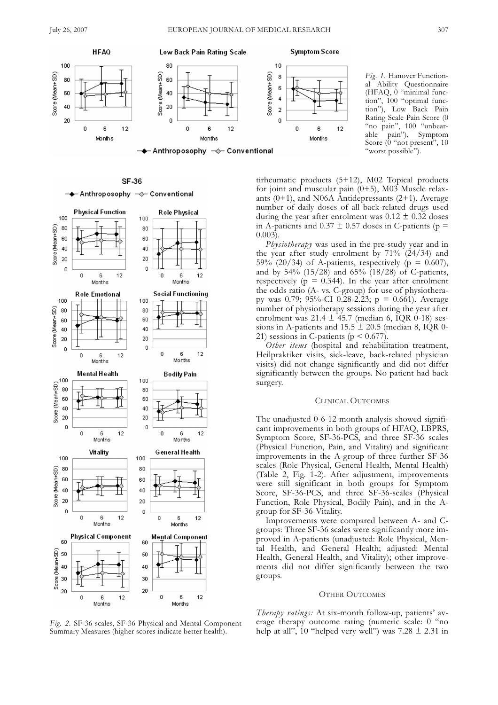



**SF-36** 



*Fig. 2.* SF-36 scales, SF-36 Physical and Mental Component Summary Measures (higher scores indicate better health).

tirheumatic products (5+12), M02 Topical products for joint and muscular pain (0+5), M03 Muscle relaxants  $(0+1)$ , and N06A Antidepressants  $(2+1)$ . Average number of daily doses of all back-related drugs used during the year after enrolment was  $0.12 \pm 0.32$  doses in A-patients and 0.37  $\pm$  0.57 doses in C-patients (p =  $0.003$ .

*Physiotherapy* was used in the pre-study year and in the year after study enrolment by  $71\%$  (24/34) and 59% (20/34) of A-patients, respectively ( $p = 0.607$ ), and by 54% (15/28) and 65% (18/28) of C-patients, respectively ( $p = 0.344$ ). In the year after enrolment the odds ratio (A- vs. C-group) for use of physiotherapy was 0.79;  $95\%$ -CI 0.28-2.23; p = 0.661). Average number of physiotherapy sessions during the year after enrolment was  $21.4 \pm 45.7$  (median 6, IQR 0-18) sessions in A-patients and  $15.5 \pm 20.5$  (median 8, IQR 0-21) sessions in C-patients ( $p < 0.677$ )

*Other items* (hospital and rehabilitation treatment, Heilpraktiker visits, sick-leave, back-related physician visits) did not change significantly and did not differ significantly between the groups. No patient had back surgery.

#### CLINICAL OUTCOMES

The unadjusted 0-6-12 month analysis showed significant improvements in both groups of HFAQ, LBPRS, Symptom Score, SF-36-PCS, and three SF-36 scales (Physical Function, Pain, and Vitality) and significant improvements in the A-group of three further SF-36 scales (Role Physical, General Health, Mental Health) (Table 2, Fig. 1-2). After adjustment, improvements were still significant in both groups for Symptom Score, SF-36-PCS, and three SF-36-scales (Physical Function, Role Physical, Bodily Pain), and in the Agroup for SF-36-Vitality.

Improvements were compared between A- and Cgroups: Three SF-36 scales were significantly more improved in A-patients (unadjusted: Role Physical, Mental Health, and General Health; adjusted: Mental Health, General Health, and Vitality); other improvements did not differ significantly between the two groups.

## OTHER OUTCOMES

*Therapy ratings:* At six-month follow-up, patients' average therapy outcome rating (numeric scale: 0 "no help at all", 10 "helped very well") was  $7.28 \pm 2.31$  in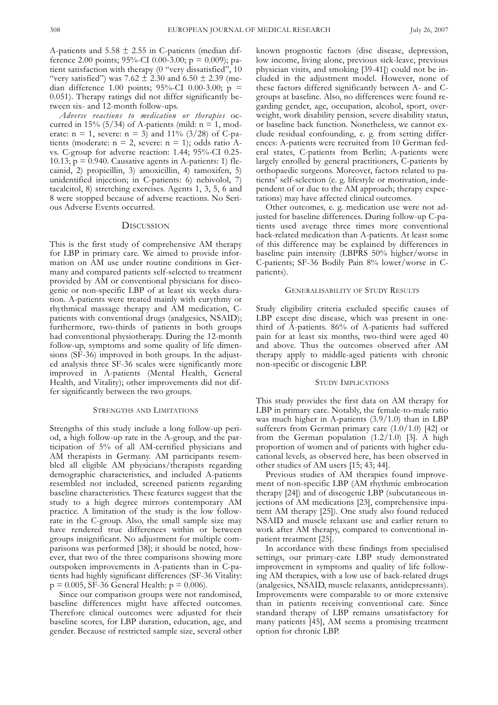A-patients and  $5.58 \pm 2.55$  in C-patients (median difference 2.00 points; 95%-CI 0.00-3.00; p = 0.009); patient satisfaction with therapy (0 "very dissatisfied", 10 "very satisfied") was 7.62  $\pm 2.30$  and 6.50  $\pm 2.39$  (median difference 1.00 points; 95%-CI 0.00-3.00; p = 0.051). Therapy ratings did not differ significantly between six- and 12-month follow-ups.

*Adverse reactions to medication or therapies* occurred in 15% (5/34) of A-patients (mild:  $n = 1$ , moderate:  $n = 1$ , severe:  $n = 3$ ) and 11% (3/28) of C-patients (moderate:  $n = 2$ , severe:  $n = 1$ ); odds ratio Avs. C-group for adverse reaction: 1.44; 95%-CI 0.25- 10.13;  $p = 0.940$ . Causative agents in A-patients: 1) flecainid, 2) propicillin, 3) amoxicillin, 4) tamoxifen, 5) unidentified injection; in C-patients: 6) nebivolol, 7) tacalcitol, 8) stretching exercises. Agents 1, 3, 5, 6 and 8 were stopped because of adverse reactions. No Serious Adverse Events occurred.

# **DISCUSSION**

This is the first study of comprehensive AM therapy for LBP in primary care. We aimed to provide information on AM use under routine conditions in Germany and compared patients self-selected to treatment provided by AM or conventional physicians for discogenic or non-specific LBP of at least six weeks duration. A-patients were treated mainly with eurythmy or rhythmical massage therapy and AM medication, Cpatients with conventional drugs (analgesics, NSAID); furthermore, two-thirds of patients in both groups had conventional physiotherapy. During the 12-month follow-up, symptoms and some quality of life dimensions (SF-36) improved in both groups. In the adjusted analysis three SF-36 scales were significantly more improved in A-patients (Mental Health, General Health, and Vitality); other improvements did not differ significantly between the two groups.

# STRENGTHS AND LIMITATIONS

Strengths of this study include a long follow-up period, a high follow-up rate in the A-group, and the participation of 5% of all AM-certified physicians and AM therapists in Germany. AM participants resembled all eligible AM physicians/therapists regarding demographic characteristics, and included A-patients resembled not included, screened patients regarding baseline characteristics. These features suggest that the study to a high degree mirrors contemporary AM practice. A limitation of the study is the low followrate in the C-group. Also, the small sample size may have rendered true differences within or between groups insignificant. No adjustment for multiple comparisons was performed [38]; it should be noted, however, that two of the three comparisons showing more outspoken improvements in A-patients than in C-patients had highly significant differences (SF-36 Vitality:  $p = 0.005$ , SF-36 General Health:  $p = 0.006$ ).

Since our comparison groups were not randomised, baseline differences might have affected outcomes. Therefore clinical outcomes were adjusted for their baseline scores, for LBP duration, education, age, and gender. Because of restricted sample size, several other known prognostic factors (disc disease, depression, low income, living alone, previous sick-leave, previous physician visits, and smoking [39-41]) could not be included in the adjustment model. However, none of these factors differed significantly between A- and Cgroups at baseline. Also, no differences were found regarding gender, age, occupation, alcohol, sport, overweight, work disability pension, severe disability status, or baseline back function. Nonetheless, we cannot exclude residual confounding, e. g. from setting differences: A-patients were recruited from 10 German federal states, C-patients from Berlin; A-patients were largely enrolled by general practitioners, C-patients by orthopaedic surgeons. Moreover, factors related to patients' self-selection (e. g. lifestyle or motivation, independent of or due to the AM approach; therapy expectations) may have affected clinical outcomes.

Other outcomes, e. g. medication use were not adjusted for baseline differences. During follow-up C-patients used average three times more conventional back-related medication than A-patients. At least some of this difference may be explained by differences in baseline pain intensity (LBPRS 50% higher/worse in C-patients; SF-36 Bodily Pain 8% lower/worse in Cpatients).

#### GENERALISABILITY OF STUDY RESULTS

Study eligibility criteria excluded specific causes of LBP except disc disease, which was present in onethird of A-patients. 86% of A-patients had suffered pain for at least six months, two-third were aged 40 and above. Thus the outcomes observed after AM therapy apply to middle-aged patients with chronic non-specific or discogenic LBP.

#### STUDY IMPLICATIONS

This study provides the first data on AM therapy for LBP in primary care. Notably, the female-to-male ratio was much higher in A-patients (3.9/1.0) than in LBP sufferers from German primary care (1.0/1.0) [42] or from the German population (1.2/1.0) [3]. A high proportion of women and of patients with higher educational levels, as observed here, has been observed in other studies of AM users [15; 43; 44].

Previous studies of AM therapies found improvement of non-specific LBP (AM rhythmic embrocation therapy [24]) and of discogenic LBP (subcutaneous injections of AM medications [23], comprehensive inpatient AM therapy [25]). One study also found reduced NSAID and muscle relaxant use and earlier return to work after AM therapy, compared to conventional inpatient treatment [25].

In accordance with these findings from specialised settings, our primary-care LBP study demonstrated improvement in symptoms and quality of life following AM therapies, with a low use of back-related drugs (analgesics, NSAID, muscle relaxants, antidepressants). Improvements were comparable to or more extensive than in patients receiving conventional care. Since standard therapy of LBP remains unsatisfactory for many patients [45], AM seems a promising treatment option for chronic LBP.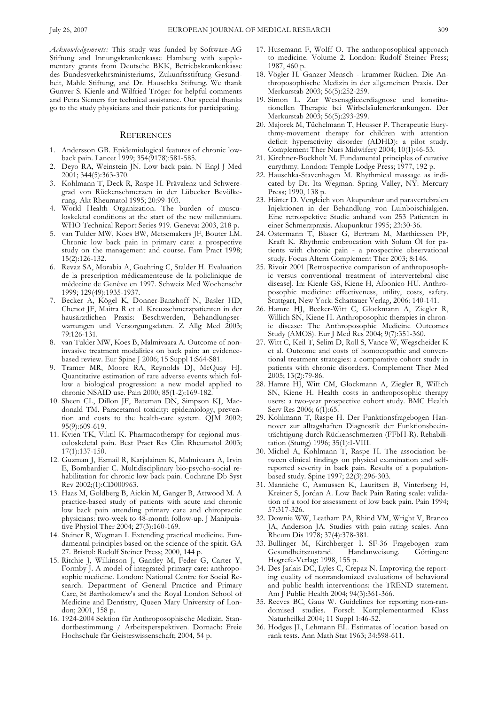*Acknowledgements:* This study was funded by Software-AG Stiftung and Innungskrankenkasse Hamburg with supplementary grants from Deutsche BKK, Betriebskrankenkasse des Bundesverkehrsministeriums, Zukunftsstiftung Gesundheit, Mahle Stiftung, and Dr. Hauschka Stiftung. We thank Gunver S. Kienle and Wilfried Tröger for helpful comments and Petra Siemers for technical assistance. Our special thanks go to the study physicians and their patients for participating.

#### **REFERENCES**

- 1. Andersson GB. Epidemiological features of chronic lowback pain. Lancet 1999; 354(9178):581-585.
- 2. Deyo RA, Weinstein JN. Low back pain. N Engl J Med 2001; 344(5):363-370.
- 3. Kohlmann T, Deck R, Raspe H. Prävalenz und Schweregrad von Rückenschmerzen in der Lübecker Bevölkerung. Akt Rheumatol 1995; 20:99-103.
- 4. World Health Organization. The burden of musculoskeletal conditions at the start of the new millennium. WHO Technical Report Series 919. Geneva: 2003, 218 p.
- 5. van Tulder MW, Koes BW, Metsemakers JF, Bouter LM. Chronic low back pain in primary care: a prospective study on the management and course. Fam Pract 1998; 15(2):126-132.
- 6. Revaz SA, Morabia A, Goehring C, Stalder H. Evaluation de la prescription médicamenteuse de la policlinique de médecine de Genève en 1997. Schweiz Med Wochenschr 1999; 129(49):1935-1937.
- 7. Becker A, Kögel K, Donner-Banzhoff N, Basler HD, Chenot JF, Maitra R et al. Kreuzschmerzpatienten in der hausärztlichen Praxis: Beschwerden, Behandlungserwartungen und Versorgungsdaten. Z Allg Med 2003; 79:126-131.
- 8. van Tulder MW, Koes B, Malmivaara A. Outcome of noninvasive treatment modalities on back pain: an evidencebased review. Eur Spine J 2006; 15 Suppl 1:S64-S81.
- 9. Tramer MR, Moore RA, Reynolds DJ, McQuay HJ. Quantitative estimation of rare adverse events which follow a biological progression: a new model applied to chronic NSAID use. Pain 2000; 85(1-2):169-182.
- 10. Sheen CL, Dillon JF, Bateman DN, Simpson KJ, Macdonald TM. Paracetamol toxicity: epidemiology, prevention and costs to the health-care system. QJM 2002; 95(9):609-619.
- 11. Kvien TK, Viktil K. Pharmacotherapy for regional musculoskeletal pain. Best Pract Res Clin Rheumatol 2003; 17(1):137-150.
- 12. Guzman J, Esmail R, Karjalainen K, Malmivaara A, Irvin E, Bombardier C. Multidisciplinary bio-psycho-social rehabilitation for chronic low back pain. Cochrane Db Syst Rev 2002;(1):CD000963.
- 13. Haas M, Goldberg B, Aickin M, Ganger B, Attwood M. A practice-based study of patients with acute and chronic low back pain attending primary care and chiropractic physicians: two-week to 48-month follow-up. J Manipulative Physiol Ther 2004; 27(3):160-169.
- 14. Steiner R, Wegman I. Extending practical medicine. Fundamental principles based on the science of the spirit. GA 27. Bristol: Rudolf Steiner Press; 2000, 144 p.
- 15. Ritchie J, Wilkinson J, Gantley M, Feder G, Carter Y, Formby J. A model of integrated primary care: anthroposophic medicine. London: National Centre for Social Research. Department of General Practice and Primary Care, St Bartholomew's and the Royal London School of Medicine and Dentistry, Queen Mary University of London; 2001, 158 p.
- 16. 1924-2004 Sektion für Anthroposophische Medizin. Standortbestimmung / Arbeitsperspektiven. Dornach: Freie Hochschule für Geisteswissenschaft; 2004, 54 p.
- 17. Husemann F, Wolff O. The anthroposophical approach to medicine. Volume 2. London: Rudolf Steiner Press; 1987, 460 p.
- 18. Vögler H. Ganzer Mensch krummer Rücken. Die Anthroposophische Medizin in der allgemeinen Praxis. Der Merkurstab 2003; 56(5):252-259.
- 19. Simon L. Zur Wesensgliederdiagnose und konstitutionellen Therapie bei Wirbelsäulenerkrankungen. Der Merkurstab 2003; 56(5):293-299.
- 20. Majorek M, Tüchelmann T, Heusser P. Therapeutic Eurythmy-movement therapy for children with attention deficit hyperactivity disorder (ADHD): a pilot study. Complement Ther Nurs Midwifery 2004; 10(1):46-53.
- 21. Kirchner-Bockholt M. Fundamental principles of curative eurythmy. London: Temple Lodge Press; 1977, 192 p.
- 22. Hauschka-Stavenhagen M. Rhythmical massage as indicated by Dr. Ita Wegman. Spring Valley, NY: Mercury Press; 1990, 138 p.
- 23. Härter D. Vergleich von Akupunktur und paravertebralen Injektionen in der Behandlung von Lumboischialgien. Eine retrospektive Studie anhand von 253 Patienten in einer Schmerzpraxis. Akupunktur 1995; 23:30-36.
- 24. Ostermann T, Blaser G, Bertram M, Matthiessen PF, Kraft K. Rhythmic embrocation with Solum Öl for patients with chronic pain - a prospective observational study. Focus Altern Complement Ther 2003; 8:146.
- 25. Rivoir 2001 [Retrospective comparison of anthroposophic versus conventional treatment of intervertebral disc disease]. In: Kienle GS, Kiene H, Albonico HU. Anthroposophic medicine: effectiveness, utility, costs, safety. Stuttgart, New York: Schattauer Verlag, 2006: 140-141.
- 26. Hamre HJ, Becker-Witt C, Glockmann A, Ziegler R, Willich SN, Kiene H. Anthroposophic therapies in chronic disease: The Anthroposophic Medicine Outcomes Study (AMOS). Eur J Med Res 2004; 9(7):351-360.
- 27. Witt C, Keil T, Selim D, Roll S, Vance W, Wegscheider K et al. Outcome and costs of homoeopathic and conventional treatment strategies: a comparative cohort study in patients with chronic disorders. Complement Ther Med 2005; 13(2):79-86.
- 28. Hamre HJ, Witt CM, Glockmann A, Ziegler R, Willich SN, Kiene H. Health costs in anthroposophic therapy users: a two-year prospective cohort study. BMC Health Serv Res 2006; 6(1):65.
- 29. Kohlmann T, Raspe H. Der Funktionsfragebogen Hannover zur alltagshaften Diagnostik der Funktionsbeeinträchtigung durch Rückenschmerzen (FFbH-R). Rehabilitation (Stuttg) 1996; 35(1):I-VIII.
- 30. Michel A, Kohlmann T, Raspe H. The association between clinical findings on physical examination and selfreported severity in back pain. Results of a populationbased study. Spine 1997; 22(3):296-303.
- 31. Manniche C, Asmussen K, Lauritsen B, Vinterberg H, Kreiner S, Jordan A. Low Back Pain Rating scale: validation of a tool for assessment of low back pain. Pain 1994; 57:317-326.
- 32. Downie WW, Leatham PA, Rhind VM, Wright V, Branco JA, Anderson JA. Studies with pain rating scales. Ann Rheum Dis 1978; 37(4):378-381.
- 33. Bullinger M, Kirchberger I. SF-36 Fragebogen zum Gesundheitszustand. Handanweisung. Göttingen: Hogrefe-Verlag; 1998, 155 p.
- 34. Des Jarlais DC, Lyles C, Crepaz N. Improving the reporting quality of nonrandomized evaluations of behavioral and public health interventions: the TREND statement. Am J Public Health 2004; 94(3):361-366.
- 35. Reeves BC, Gaus W. Guidelines for reporting non-randomised studies. Forsch Komplementarmed Klass Naturheilkd 2004; 11 Suppl 1:46-52.
- 36. Hodges JL, Lehmann EL. Estimates of location based on rank tests. Ann Math Stat 1963; 34:598-611.